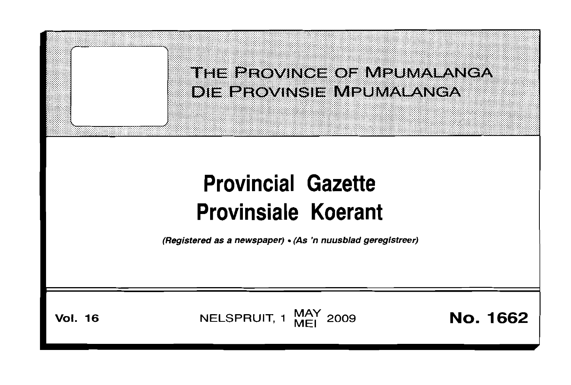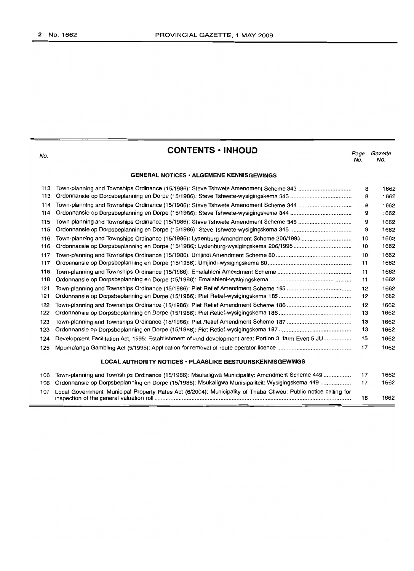No.

|  | <b>CONTENTS • INHOUD</b> |
|--|--------------------------|
|--|--------------------------|

*Page Gazette* No. No.

#### **GENERAL NOTICES· ALGEMENE KENNISGEWINGS**

| 113 | Town-planning and Townships Ordinance (15/1986): Steve Tshwete Amendment Scheme 343                             | 8  | 1662 |
|-----|-----------------------------------------------------------------------------------------------------------------|----|------|
| 113 |                                                                                                                 | 8  | 1662 |
| 114 |                                                                                                                 | 8  | 1662 |
| 114 |                                                                                                                 | 9  | 1662 |
| 115 |                                                                                                                 | 9  | 1662 |
| 115 |                                                                                                                 | 9  | 1662 |
| 116 | Town-planning and Townships Ordinance (15/1986): Lydenburg Amendment Scheme 206/1995                            | 10 | 1662 |
| 116 |                                                                                                                 | 10 | 1662 |
| 117 |                                                                                                                 | 10 | 1662 |
| 117 |                                                                                                                 | 11 | 1662 |
| 118 |                                                                                                                 | 11 | 1662 |
| 118 |                                                                                                                 | 11 | 1662 |
| 121 |                                                                                                                 | 12 | 1662 |
| 121 |                                                                                                                 | 12 | 1662 |
| 122 |                                                                                                                 | 12 | 1662 |
| 122 |                                                                                                                 | 13 | 1662 |
| 123 |                                                                                                                 | 13 | 1662 |
| 123 |                                                                                                                 | 13 | 1662 |
| 124 | Development Facilitation Act, 1995: Establishment of land development area: Portion 3, farm Evert 5 JU          | 15 | 1662 |
| 125 |                                                                                                                 | 17 | 1662 |
|     | LOCAL AUTHORITY NOTICES • PLAASLIKE BESTUURSKENNISGEWINGS                                                       |    |      |
| 106 | Town-planning and Townships Ordinance (15/1986): Msukaligwa Municipality: Amendment Scheme 449                  | 17 | 1662 |
| 106 | Ordonnansie op Dorpsbeplanning en Dorpe (15/1986): Msukaligwa Munisipaliteit: Wysigingskema 449                 | 17 | 1662 |
| 107 | Local Government: Municipal Property Rates Act (6/2004): Municipality of Thaba Chweu: Public notice calling for |    |      |

inspection of the general valuation roll 18 1662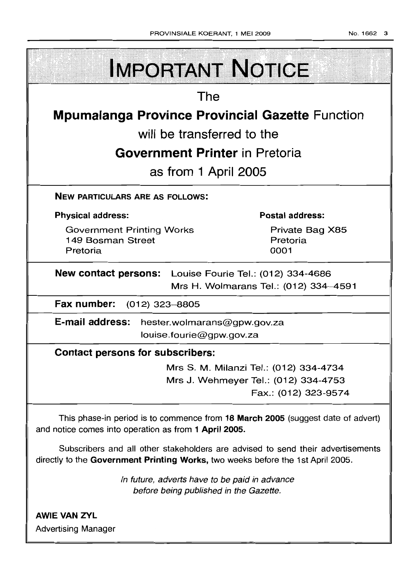**IMPORTANT NOTICE The Mpumalanga Province Provincial Gazette Function will be transferred to the Government Printer in Pretoria as from 1 April 2005 NEW PARTICULARS ARE AS FOLLOWS: Physical address: Postal address:** Private Bag X85 Government Printing Works 149 Bosman Street Pretoria Pretoria 0001 **New contact persons:** Louise Fourie Tel.: (012) 334-4686 Mrs H. Wolmarans Tel.: (012) 334-4591 **Fax number:** (012) 323-8805 **E-mail address:hester.wolmarans@gpw.gov.za** louise.fourie@gpw.gov.za **Contact persons for subscribers:**

Mrs S. M. Milanzi Tel.: (012) 334-4734 Mrs J. Wehmeyer Tel.: (012) 334-4753 Fax.: (012) 323-9574

This phase-in period is to commence from **18 March 2005** (suggest date of advert) and notice comes into operation as from **1 April 2005.**

Subscribers and all other stakeholders are advised to send their advertisements directly to the **Government Printing Works,** two weeks before the 1st April 2005.

> In future, adverts have to be paid in advance before being published in the Gazette.

**AWIE VAN ZVL** Advertising Manager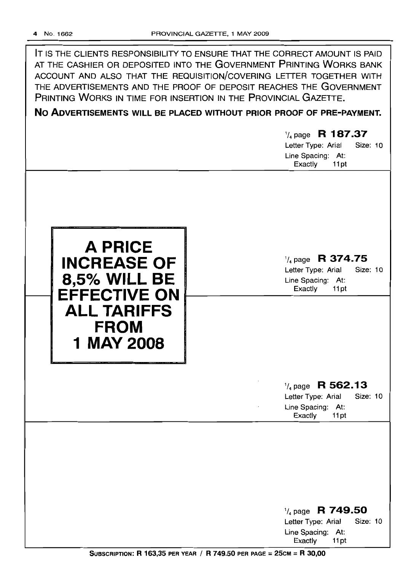IT IS THE CLIENTS RESPONSIBILITY TO ENSURE THAT THE CORRECT AMOUNT IS PAID AT THE CASHIER OR DEPOSITED INTO THE GOVERNMENT PRINTING WORKS BANK ACCOUNT AND ALSO THAT THE REQUISITION/COVERING LETrER TOGETHER WITH THE ADVERTISEMENTS AND THE PROOF OF DEPOSIT REACHES THE GOVERNMENT PRINTING WORKS IN TIME FOR INSERTION IN THE PROVINCIAL GAZETTE.

# **No ADVERTISEMENTS WILL BE PLACED WITHOUT PRIOR PROOF OF PRE-PAYMENT.**

# '/4 page R **187.37** Letter Type: Arial Size: 10 Line Spacing: At: Exactly 11 pt



# 1/4 page **R 374.75**

Letter Type: Arial Size: 10 Line Spacing: At: Exactly 11 pt

# 1/4 page **R 562.13**

Letter Type: Arial Size: 10 Line Spacing: At: Exactly 11 pt

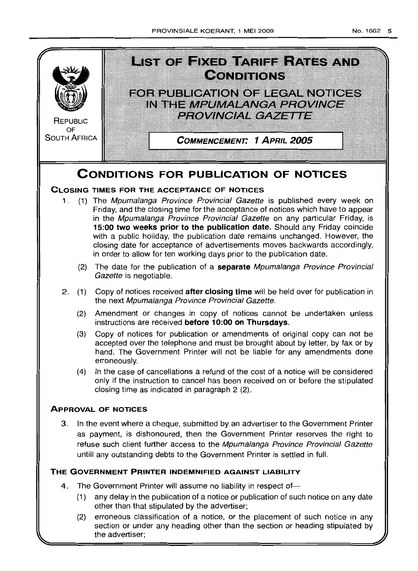

(2) erroneous classification of a notice, or the placement of such notice in any section or under any heading other than the section or heading stipulated by the advertiser;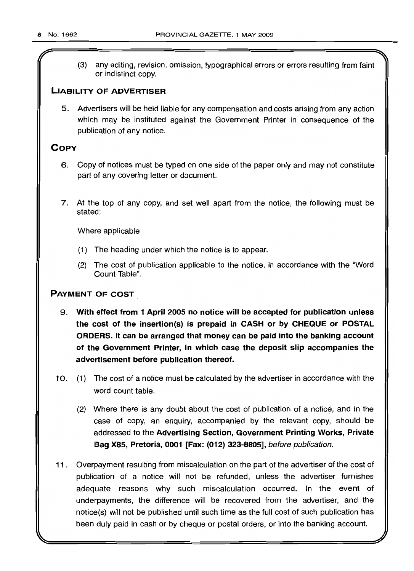(3) any editing, revision, omission, typographical errors or errors resulting from faint or indistinct copy.

# **LIABILITY OF ADVERTISER**

5. Advertisers will be held liable for any compensation and costs arising from any action which may be instituted against the Government Printer in consequence of the publication of any notice.

# **COpy**

- 6. Copy of notices must be typed on one side of the paper only and may not constitute part of any covering letter or document.
- 7. At the top of any copy, and set well apart from the notice, the following must be stated:

Where applicable

- (1) The heading under which the notice is to appear.
- (2) The cost of publication applicable to the notice, in accordance with the "Word Count Table".

# **PAYMENT OF COST**

- 9. **With effect from 1 April 2005 no notice will be accepted for publication unless the cost of the insertion(s) is prepaid in CASH or by CHEQUE or POSTAL ORDERS. It can be arranged that money can be paid into the banking account of the Government Printer, in which case the deposit slip accompanies the advertisement before publication thereof.**
- 10. (1) The cost of a notice must be calculated by the advertiser in accordance with the word count table.
	- (2) Where there is any doubt about the cost of publication of a notice, and in the case of copy, an enquiry, accompanied by the relevant copy, should be addressed to the **Advertising Section, Government Printing Works, Private Bag X85, Pretoria, 0001 [Fax: (012) 323-8805],** before publication.
- **11.** Overpayment resulting from miscalculation on the part of the advertiser of the cost of publication of a notice will not be refunded, unless the advertiser furnishes adequate reasons why such miscalculation occurred. In the event of underpayments, the difference will be recovered from the advertiser, and the notice(s) will not be published until such time as the full cost of such publication has been duly paid in cash or by cheque or postal orders, or into the banking account.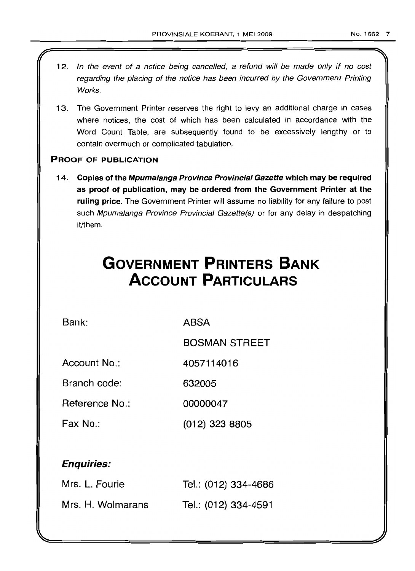- 12. In the event of a notice being cancelled, a refund will be made only if no cost regarding the placing of the notice has been incurred by the Government Printing Works.
- 13. The Government Printer reserves the right to levy an additional charge in cases where notices, the cost of which has been calculated in accordance with the Word Count Table, are subsequently found to be excessively lengthy or to contain overmuch or complicated tabulation.

# PROOF OF PUBLICATION

14. Copies of the Mpumalanga Province Provincial Gazette which may be required as proof of publication, may be ordered from the Government Printer at the ruling price. The Government Printer will assume no liability for any failure to post such Mpumalanga Province Provincial Gazette(s) or for any delay in despatching it/them.

# **GOVERNMENT PRINTERS BANK ACCOUNT PARTICULARS**

Bank: ABSA

BOSMAN STREET

Account No.: 4057114016

Branch code: 632005

Reference No.: 00000047

Fax No.: (012) 323 8805

# Enquiries:

| Mrs. L. Fourie    | Tel.: (012) 334-4686 |
|-------------------|----------------------|
| Mrs. H. Wolmarans | Tel.: (012) 334-4591 |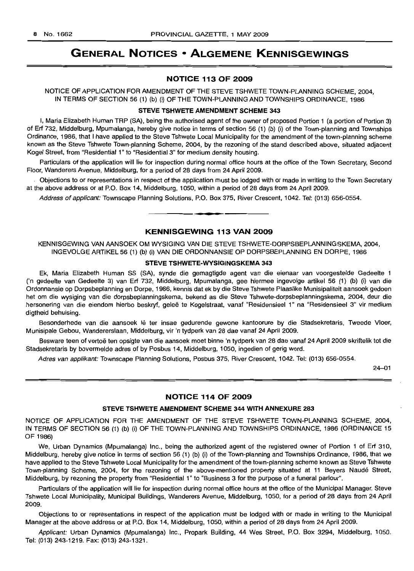# **GENERAL NOTICES • ALGEMENE KENNISGEWINGS**

### **NOTICE 113 OF 2009**

NOTICE OF APPLICATION FOR AMENDMENT OF THE STEVE TSHWETE TOWN-PLANNING SCHEME, 2004, IN TERMS OF SECTION 56 (1) (b) (i) OF THE TOWN-PLANNING AND TOWNSHIPS ORDINANCE, 1986

#### **STEVE TSHWETE AMENDMENT SCHEME 343**

I, Maria Elizabeth Human TRP (SA), being the authorised agent of the owner of proposed Portion 1 (a portion of Portion 3) of Erf 732, Middelburg, Mpumalanga, hereby give notice in terms of section 56 (1) (b) (i) of the Town-planning and Townships Ordinance, 1986, that I have applied to the Steve Tshwete Local Municipality for the amendment of the town-planning scheme known as the Steve Tshwete Town-planning Scheme, 2004, by the rezoning of the stand described above, situated adjacent Kogel Street, from "Residential 1" to "Residential 3" for medium density housing.

Particulars of the application will lie for inspection during normal office hours at the office of the Town Secretary, Second Floor, Wanderers Avenue, Middelburg, for a period of 28 days from 24 April 2009.

Objections to or representations in respect of the application must be lodged with or made in writing to the Town Secretary at the above address or at P.O. Box 14, Middelburg, 1050, within a period of 28 days from 24 April 2009.

Address of applicant: Townscape Planning Solutions, P.O. Box 375, River Crescent, 1042. Tel: (013) 656-0554. .**-.**

#### **KENNISGEWING 113 VAN 2009**

KENNISGEWING VAN AANSOEK OM WYSIGING VAN DIE STEVE TSHWETE-DORPSBEPLANNINGSKEMA, 2004, INGEVOLGE ARTIKEL 56 (1) (b) (i) VAN DIE ORDONNANSIE OP DORPSBEPLANNING EN DORPE, 1986

#### **STEVE TSHWETE-WYSIGINGSKEMA 343**

Ek, Maria Elizabeth Human SS (SA), synde die gemagtigde agent van die eienaar van voorgestelde Gedeelte 1 en gedeelte van Gedeelte 3) van Erf 732, Middelburg, Mpumalanga, gee hiermee ingevolge artikel 56 (1) (b) (i) van die Ordonnansie op Dorpsbeplanning en Dorpe, 1986, kennis dat ek by die Steve Tshwete Plaaslike Munisipaliteit aansoek gedoen het om die wysiging van die dorpsbeplanningskema, bekend as die Steve Tshwete-dorpsbeplanningskema, 2004, deur die hersonering van die eiendom hierbo beskryf, geleë te Kogelstraat, vanaf "Residensieel 1" na "Residensieel 3" vir medium digtheid behuising.

Besonderhede van die aansoek lê ter insae gedurende gewone kantoorure by die Stadsekretaris, Tweede Vloer, Munisipale Gebou, Wandererslaan, Middelburg, vir 'n tydperk van 28 dae vanaf 24 April 2009.

Besware teen of vertoë ten opsigte van die aansoek moet binne 'n tydperk van 28 dae vanaf 24 April 2009 skriftelik tot die Stadsekretaris by bovermelde adres of by Posbus 14, Middelburg, 1050, ingedien of gerig word.

Adres van applikant: Townscape Planning Solutions, Posbus 375, River Crescent, 1042. Tel: (013) 656-0554.

24-01

#### **NOTICE 114 OF 2009**

#### **STEVE TSHWETE AMENDMENT SCHEME 344 WITH ANNEXURE 283**

NOTICE OF APPLICATION FOR THE AMENDMENT OF THE STEVE TSHWETE TOWN-PLANNING SCHEME, 2004, IN TERMS OF SECTION 56 (1) (b) (i) OF THE TOWN-PLANNING AND TOWNSHIPS ORDINANCE, 1986 (ORDINANCE 15 OF 1986)

We, Urban Dynamics (Mpumalanga) Inc., being the authorized agent of the registered owner of Portion 1 of Erf 310, Middelburg, hereby give notice in terms of section 56 (1) (b) (i) of the Town-planning and Townships Ordinance, 1986, that we have applied to the Steve Tshwete Local Municipality for the amendment of the town-planning scheme known as Steve Tshwete Town-planning Scheme, 2004, for the rezoning of the above-mentioned property situated at 11 Beyers Naude Street, Middelburg, by rezoning the property from "Residential 1" to "Business 3 for the purpose of a funeral parlour".

Particulars of the application will lie for inspection during normal office hours at the office of the Municipal Manager, Steve Tshwete Local Municipality, Municipal Buildings, Wanderers Avenue, Middelburg, 1050, for a period of 28 days from 24 April 2009.

Objections to or representations in respect of the application must be lodged with or made in writing to the Municipal Manager at the above address or at P.O. Box 14, Middelburg, 1050, within a period of 28 days from 24 April 2009.

Applicant: Urban Dynamics (Mpumalanga) Inc., Propark Building, 44 Wes Street, P.O. Box 3294, Middelburg, 1050. Tel: (013) 243-1219. Fax: (013) 243-1321.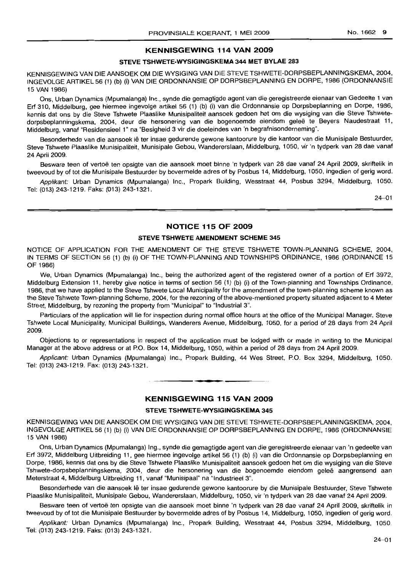#### **KENNISGEWING 114 VAN 2009**

#### **STEVE TSHWETE-WYSIGINGSKEMA 344 MET BYLAE 283**

KENNISGEWING VAN DIE AANSOEK OM DIE WYSIGING VAN DIE STEVE TSHWETE-DORPSBEPLANNINGSKEMA, 2004, INGEVOLGE ARTIKEL 56 (1) (b) (i) VAN DIE ORDONNANSIE OP DORPSBEPLANNING EN DORPE, 1986 (ORDONNANSIE 15 VAN 1986)

Ons, Urban Dynamics (Mpumalanga) Inc., synde die gemagtigde agent van die geregistreerde eienaar van Gedeelte 1 van Erf 310, Middelburg, gee hiermee ingevolge artikel 56 (1) (b) (i) van die Ordonnansie op Dorpsbeplanning en Dorpe, 1986, kennis dat ons by die Steve Tshwete Plaaslike Munisipaliteit aansoek gedoen het om die wysiging van die Steve Tshwetedorpsbeplanningskema, 2004, deur die hersonering van die bogenoemde eiendom gelee te Beyers Naudestraat 11, Middelburg, vanaf "Residensieel 1" na "Besigheid 3 vir die doeleindes van 'n begrafnisonderneming".

Besonderhede van die aansoek lê ter insae gedurende gewone kantoorure by die kantoor van die Munisipale Bestuurder, Steve Tshwete Plaaslike Munisipaliteit, Munisipale Gebou, Wandererslaan, Middelburg, 1050, vir 'n tydperk van 28 dae vanaf 24 April 2009.

Besware teen of vertoë ten opsigte van die aansoek moet binne 'n tydperk van 28 dae vanaf 24 April 2009, skriftelik in tweevoud by of tot die Munisipale Bestuurder by bovermelde adres of by Posbus 14, Middelburg, 1050, ingedien of gerig word.

Applikant: Urban Dynamics (Mpumalanga) Inc., Propark Building, Wesstraat 44, Posbus 3294, Middelburg, 1050. Tel: (013) 243-1219. Faks: (013) 243-1321.

24-01

#### **NOTICE 115 OF 2009**

#### **STEVE TSHWETE AMENDMENT SCHEME 345**

NOTICE OF APPLICATION FOR THE AMENDMENT OF THE STEVE TSHWETE TOWN-PLANNING SCHEME, 2004, IN TERMS OF SECTION 56 (1) (b) (i) OF THE TOWN-PLANNING AND TOWNSHIPS ORDINANCE, 1986 (ORDINANCE 15 OF 1986)

We, Urban Dynamics (Mpumalanga) Inc., being the authorized agent of the registered owner of a portion of Erf 3972, Middelburg Extension 11, hereby give notice in terms of section 56 (1) (b) (i) of the Town-planning and Townships Ordinance, 1986, that we have applied to the Steve Tshwete Local Municipality for the amendment of the town-planning scheme known as the Steve Tshwete Town-planning Scheme, 2004, for the rezoning of the above-mentioned property situated adjacent to 4 Meter Street, Middelburg, by rezoning the property from "Municipal" to "Industrial 3".

Particulars of the application will lie for inspection during normal office hours at the office of the Municipal Manager, Steve Tshwete Local Municipality, Municipal Buildings, Wanderers Avenue, Middelburg, 1050, for a period of 28 days from 24 April 2009.

Objections to or representations in respect of the application must be lodged with or made in writing to the Municipal Manager at the above address or at P.O. Box 14, Middelburg, 1050, within a period of 28 days from 24 April 2009.

Applicant: Urban Dynamics (Mpumalanga) Inc., Propark Building, 44 Wes Street, P.O. Box 3294, Middelburg, 1050. Tel: (013) 243-1219. Fax: (013) 243-1321. **.-**

#### **KENNISGEWING 115 VAN 2009**

#### **STEVE TSHWETE-WYSIGINGSKEMA 345**

KENNISGEWING VAN DIE AANSOEK OM DIE WYSIGING VAN DIE STEVE TSHWETE-DORPSBEPLANNINGSKEMA, 2004, INGEVOLGE ARTIKEL 56 (1) (b) (i) VAN DIE ORDONNANSIE OP DORPSBEPLANNING EN DORPE, 1986 (ORDONNANSIE 15 VAN 1986)

Ons, Urban Dynamics (Mpumalanga) Ing., synde die gemagtigde agent van die geregistreerde eienaar van 'n gedeelte *van* Erf 3972, Middelburg Uitbreiding 11, gee hiermee ingevolge artikel 56 (1) (b) (i) *van* die Ordonnansie op Dorpsbeplanning en Dorpe, 1986, kennis dat ons by die Steve Tshwete Plaaslike Munisipaliteit aansoek gedoen het om die wysiging van die Steve Tshwete-dorpsbeplanningskema, 2004, deur die hersonering van die bogenoemde eiendom qelee aangrensend aan Meterstraat 4, Middelburg Uitbreiding 11, vanaf "Munisipaal" na "Industrieel 3".

Besonderhede van die aansoek lê ter insae gedurende gewone kantoorure by die Munisipale Bestuurder, Steve Tshwete Plaaslike Munisipaliteit, Munisipale Gebou, Wandererslaan, Middelburg, 1050, vir 'n tydperk van 28 dae vanaf 24 April 2009.

Besware teen of vertoë ten opsigte van die aansoek moet binne 'n tydperk van 28 dae vanaf 24 April 2009, skriftelik in tweevoud by of tot die Munisipale Bestuurder by bovermelde adres of by Posbus 14, Middelburg, 1050, ingedien of gerig word.

Applikant: Urban Dynamics (Mpumalanga) Inc., Propark Building, Wesstraat 44, Posbus 3294, Middelburg, 1050. Tel: (013) 243-1219. Faks: (013) 243-1321.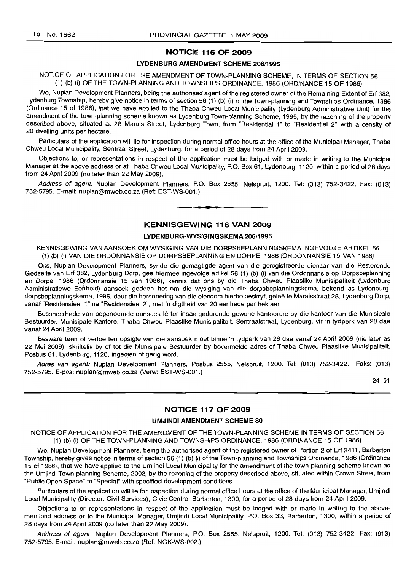#### **NOTICE 116 OF 2009**

#### **LYDENBURG AMENDMENT SCHEME** 206/1995

#### NOTICE OF APPLICATION FOR THE AMENDMENT OF TOWN-PLANNING SCHEME, IN TERMS OF SECTION 56 (1) (b) (i) OF THE TOWN-PLANNING AND TOWNSHIPS ORDINANCE, 1986 (ORDINANCE 15 OF 1986)

We, Nuplan Development Planners, being the authorised agent of the registered owner of the Remaining Extent of Erf 382, Lydenburg Township, hereby give notice in terms of section 56 (1) (b) (i) of the Town-planning and Townships Ordinance, 1986 (Ordinance 15 of 1986), that we have applied to the Thaba Chweu Local Municipality (Lydenburg Administrative Unit) for the amendment of the town-planning scheme known as Lydenburg Town-planning Scheme, 1995, by the rezoning of the property described above, situated at 28 Marais Street, Lydenburg Town, from "Residential 1" to "Residential 2" with a density of 20 dwelling units per hectare.

Particulars of the application will lie for inspection during normal office hours at the office of the Municipal Manager, Thaba Chweu Local Municipality, Sentraal Street, Lydenburg, for a period of 28 days from 24 April 2009.

Objections to, or representations in respect of the application must be lodged with or made in writing to the Municipal Manager at the above address or at Thaba Chweu Local Municipality, P.O. Box 61, Lydenburg, 1120, within a period of 28 days from 24 April 2009 (no later than 22 May 2009).

Address of agent: Nuplan Development Planners, P.O. Box 2555, Nelspruit, 1200. Tel: (013) 752-3422. Fax: (013) 752-5795. E-mail: nuplan@mweb.co.za (Ref: EST-WS-001.)

**• d**

#### **KENNISGEWING 116 VAN 2009**

#### **LYDENBURG-WYSIGINGSKEMA** 206/1995

KENNISGEWING VAN AANSOEK OM WYSIGING VAN DIE DORPSBEPLANNINGSKEMA INGEVOLGE ARTIKEL 56 (1) (b) (i) VAN DIE ORDONNANSIE OP DORPSBEPLANNING EN DORPE, 1986 (ORDONNANSIE 15 VAN 1986)

Ons, Nuplan Development Planners, synde die gemagtigde agent van die geregistreerde eienaar van die Resterende Gedeelte van Erf 382, Lydenburg Dorp, gee hiermee ingevolge artikel 56 (1) (b) (i) van die Ordonnansie op Dorpsbeplanning en Dorpe, 1986 (Ordonnansie 15 van 1986), kennis dat ons by die Thaba Chweu Plaaslike Munisipaliteit (Lydenburg Administratiewe Eenheid) aansoek gedoen het om die wysiging van die dorpsbeplanningskema, bekend as Lydenburgdorpsbeplanningskema, 1995, deur die hersonering van die eiendom hierbo beskryf, gelee te Maraisstraat 28, Lydenburg Dorp, vanaf "Residensieel 1" na "Residensieel 2", met 'n digtheid van 20 eenhede per hektaar.

Besonderhede van bogenoemde aansoek lê ter insae gedurende gewone kantoorure by die kantoor van die Munisipale Bestuurder, Munisipale Kantore, Thaba Chweu Plaaslike Munisipaliteit, Sentraalstraat, Lydenburg, vir 'n tydperk van 28 dae vanaf 24 April 2009.

Besware teen of vertoë ten opsigte van die aansoek moet binne 'n tydperk van 28 dae vanaf 24 April 2009 (nie later as 22 Mei 2009), skriftelik by of tot die Munisipale Bestuurder by bovermelde adres of Thaba Chweu Plaaslike Munisipaliteit, Posbus 61, Lydenburg, 1120, ingedien of gerig word.

Adres van agent: Nuplan Development Planners, Posbus 2555, Nelspruit, 1200. Tel: (013) 752-3422. Faks: (013) 752-5795. E-pos: nuplan@mweb.co.za (Verw: EST-WS-001.)

24-01

#### **NOTICE 117 OF 2009**

#### **UMJINDI AMENDMENT SCHEME 80**

NOTICE OF APPLICATION FOR THE AMENDMENT OF THE TOWN-PLANNING SCHEME IN TERMS OF SECTION 56 (1) (b) (i) OF THE TOWN-PLANNING AND TOWNSHIPS ORDINANCE, 1986 (ORDINANCE 15 OF 1986)

We, Nuplan Development Planners, being the authorised agent of the registered owner of Portion 2 of Erf 2411, Barberton Township, hereby gives notice in terms of section 56 (1) (b) (i) of the Town-planning and Townships Ordinance, 1986 (Ordinance 15 of 1986), that we have applied to the Umjindi Local Municipality for the amendment of the town-planning scheme known as the Umjindi Town-planning Scheme, 2002, by the rezoning of the property described above, situated within Crown Street, from "Public Open Space" to "Special" with specified development conditions.

Particulars of the application will lie for inspection during normal office hours at the office of the Municipal Manager, Umjindi Local Municipality (Director: Civil Services), Civic Centre, Barberton, 1300, for a period of 28 days from 24 April 2009.

Objections to or representations in respect of the application must be lodged with or made in writing to the abovementiond address or to the Municipal Manager, Umjindi Local Municipality, P.O. Box 33, Barberton, 1300, within a period of 28 days from 24 April 2009 (no later than 22 May 2009).

Address of agent: Nuplan Development Planners, P.O. Box 2555, Nelspruit, 1200. Tel: (013) 752-3422. Fax: (013) 752-5795. E-mail: nuplan@mweb.co.za (Ref: NGK-WS-002.)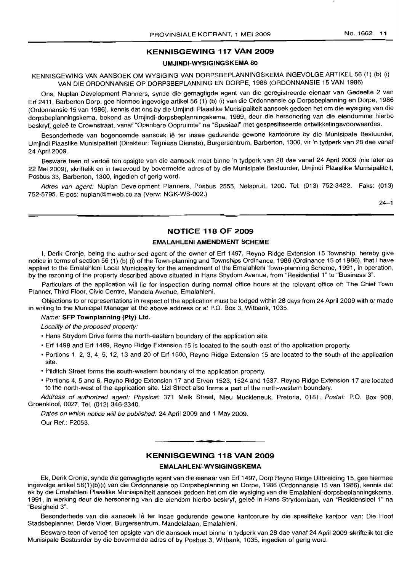#### **KENNISGEWING 117 VAN 2009**

#### **UMJINDI-WYSIGINGSKEMA 80**

## KENNISGEWING VAN AANSOEK OM WYSIGING VAN DORPSBEPLANNINGSKEMA INGEVOLGE ARTIKEL 56 (1) (b) (i) VAN DIE ORDONNANSIE OP DORPSBEPLANNING EN DORPE, 1986 (ORDONNANSIE 15 VAN 1986)

Ons, Nuplan Development Planners, synde die gemagtigde agent van die geregistreerde eienaar van Gedeelte 2 van Erf 2411, Barberton Dorp, gee hiermee ingevolge artikel 56 (1) (b) (i) van die Ordonnansie op Dorpsbeplanning en Dorpe, 1986 (Ordonnansie 15 van 1986), kennis dat ons by die Umjindi Plaaslike Munisipaliteit aansoek gedoen het om die wysiging van die dorpsbeplanningskema, bekend as Umjindi-dorpsbeplanningskema, 1989, deur die hersonering van die eiendomme hierbo beskry1, gelee te Crownstraat, vanaf "Openbare Oopruimte" na "Spesiaal" met gespesifiseerde ontwikkelingsvoorwaardes.

Besonderhede van bogenoemde aansoek lê ter insae gedurende gewone kantoorure by die Munisipale Bestuurder, Umjindi Plaaslike Munisipaliteit (Direkteur: Tegniese Dienste), Burgersentrum, Barberton, 1300, vir'n tydperk van 28 dae vanaf 24 April 2009.

Besware teen of vertoë ten opsigte van die aansoek moet binne 'n tydperk van 28 dae vanaf 24 April 2009 (nie later as 22 Mei 2009), skriftelik en in tweevoud by bovermelde adres of by die Munisipale Bestuurder, Umjindi Plaaslike Munisipaliteit, Posbus 33, Barberton, 1300, ingedien of gerig word.

Adres van agent: Nuplan Development Planners, Posbus 2555, Nelspruit, 1200. Tel: (013) 752-3422. Faks: (013) 752-5795. E-pos: nuplan@mweb.co.za (Verw: NGK-WS-002.)

 $24 - 1$ 

#### **NOTICE 118 OF 2009**

#### **EMALAHLENI AMENDMENT SCHEME**

I, Derik Cronje, being the authorised agent of the owner of Erf 1497, Reyno Ridge Extension 15 Township, hereby give notice in terms of section 56 (1) (b) (i) of the Town-planning and Townships Ordinance, 1986 (Ordinance 15 of 1986), that I have applied to the Emalahleni Local Municipality for the amendment of the Emalahleni Town-planning Scheme, 1991, in operation, by the rezoning of the property described above situated in Hans Strydom Avenue, from "Residential 1" to "Business 3".

Particulars of the application will lie for inspection during normal office hours at the relevant office of: The Chief Town Planner, Third Floor, Civic Centre, Mandela Avenue, Emalahleni.

Objections to or representations in respect of the application must be lodged within 28 days from 24 April 2009 with or made in writing to the Municipal Manager at the above address or at P.O. Box 3, Witbank, 1035.

#### Name: **SFP Townplanning (pty) Ltd.**

Locality of the proposed property:

- Hans Strydom Drive forms the north-eastern boundary of the application site.
- Erf 1498 and Erf 1499, Reyno Ridge Extension 15 is located to the south-east of the application property.
- Portions 1, 2, 3, 4, 5, 12, 13 and 20 of Erf 1500, Reyno Ridge Extension 15 are located to the south of the application site.
- Pilditch Street forms the south-western boundary of the application property.
- Portions 4,5 and 6, Reyno Ridge Extension 17 and Erven 1523, 1524 and 1537, Reyno Ridge Extension 17 are located to the north-west of the application site. Lizl Street also forms a part of the north-western boundary.

Address of authorized agent: Physical: 371 Melk Street, Nieu Muckleneuk, Pretoria, 0181. Postal: P.O. Box 908, Groenkloof, 0027. Tel. (012) 346-2340.

Dates on which notice will be published: 24 April 2009 and 1 May 2009. Our Ref.: F2053.

#### **KENNISGEWING 118 VAN 2009**

.**-.**

#### **EMALAHLENI-WYSIGINGSKEMA**

Ek, Derik Cronje, synde die gemagtigde agent van die eienaar van Erf 1497, Dorp Reyno Ridge Uitbreiding 15, gee hiermee ingevolge artikel 56(1)(b)(i) van die Ordonnansie op Dorpsbeplanning en Dorpe, 1986 (Ordonnansie 15 van 1986), kennis dat ek by die Emalahleni Plaaslike Munisipaliteit aansoek gedoen het om die wysiging van die Emalahleni-dorpsbeplanningskema, 1991, in werking deur die hersonering van die eiendom hierbo beskryf, gelee in Hans Strydomlaan, van "Residensieel 1" na "Besigheid 3".

Besonderhede van die aansoek lê ter insae gedurende gewone kantoorure by die spesifieke kantoor van: Die Hoof Stadsbeplanner, Derde Vloer, Burgersentrum. Mandelalaan, Emalahleni.

Besware teen of vertoë ten opsigte van die aansoek moet binne 'n tydperk van 28 dae vanaf 24 April 2009 skriftelik tot die Munisipale Bestuurder by die bovermelde adres of by Posbus 3, Witbank, 1035, ingedien of gerig word.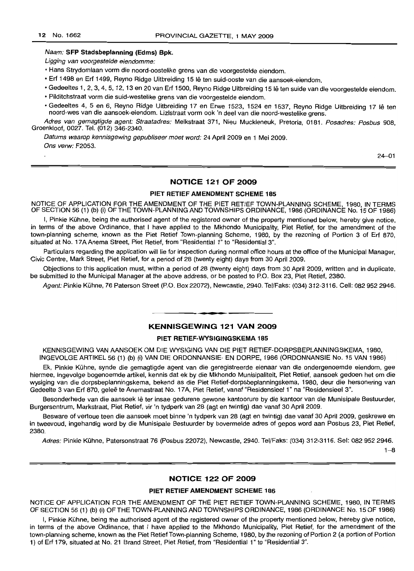#### Naam: **SFP Stadsbeplanning (Edms) Bpk.**

Ligging van voorgestelde eiendomme:

- Hans Strydomlaan vorm die noord-oostelike grens van die voorgestelde eiendom.
- Erf 1498 en Erf 1499, Reyno Ridge Uitbreiding 15 Ie ten suid-ooste van die aansoek-eiendom.
- Gedeeltes 1, 2, 3, 4, 5, 12, 13 en 20 van Erf 1500, Reyno Ridge Uitbreiding 15 Ie ten suide van die voorgestelde eiendom.
- Pilditchstraat vorm die suid-westelike grens van die voorgestelde eiendom.
- Gedeeltes 4, 5 en 6, Reyno Ridge Uitbreiding 17 en Erwe 1523, 1524 en 1537, Reyno Ridge Uitbreiding 17 Ie ten noord-wes van die aansoek-eiendom. Lizlstraat vorm ook 'n deel van die noord-westelike grens.

Adres van gemagtigde agent: Straatadres: Melkstraat 371, Nieu Muckleneuk, Pretoria, 0181. Posadres: Posbus 908, Groenkloof, 0027. Tel. (012) 346-2340.

Datums waarop kennisgewing gepubliseer moet word: 24 April 2009 en 1 Mei 2009. Ons verw: F2053.

24-01

#### **NOTICE 121 OF 2009**

#### **PIET RETIEF AMENDMENT SCHEME** 185

NOTICE OF APPLICATION FOR THE AMENDMENT OF THE PIET RETIEF TOWN-PLANNING SCHEME, 1980, IN TERMS OF SECTION 56 (1) (b) (i) OFTHE TOWN-PLANNING AND TOWNSHIPS ORDINANCE, 1986 (ORDINANCE No. 15 OF 1986)

I. Pinkie Kühne, being the authorised agent of the registered owner of the property mentioned below, hereby give notice, in terms of the above Ordinance, that I have applied to the Mkhondo Municipality, Piet Retief, for the amendment of the town-planning scheme, known as the Piet Retief Town-planning Scheme, 1980, by the rezoning of Portion 3 of Erf 870, situated at No. 17A Anema Street, Piet Retief, from "Residential 1" to "Residential 3".

Particulars regarding the application will lie for inspection during normal office hours at the office of the Municipal Manager, Civic Centre, Mark Street, Piet Retief, for a period of 28 (twenty eight) days from 30 April 2009.

Objections to this application must, within a period of 28 (twenty eight) days from 30 April 2009, written and in duplicate, be submitted to the Municipal Manager at the above address, or be posted to P.O. Box 23, Piet Retief, 2380.

Agent: Pinkie Kuhne, 76 Paterson Street (P.O. Box 22072), Newcastle, 2940. Tel/Faks: (034) 312-3116. Cell: 082 952 2946.

#### **KENNISGEWING 121 VAN 2009**

**• •**

#### **PIET RETIEF-WYSIGINGSKEMA** 185

KENNISGEWING VAN AANSOEK OM DIE WYSIGING VAN DIE PIET RETIEF-DORPSBEPLANNINGSKEMA, 1980, INGEVOLGE ARTIKEL 56 (1) (b) (i) VAN DIE ORDONNANSIE- EN DORPE, 1986 (ORDONNANSIE No. 15 VAN 1986)

Ek, Pinkie Kuhne, synde die gemagtigde agent van die geregistreerde eienaar van die ondergenoemde eiendom, gee hiermee, ingevolge bogenoemde artikel, kennis dat ek by die Mkhondo Munisipaliteit, Piet Retief, aansoek gedoen het om die wysiging van die dorpsbeplanningskema, bekend as die Piet Retief-dorpsbeplanningskema, 1980, deur die hersonering van Gedeelte 3 van Erf 870, qelee te Anemastraat No. 17A, Piet Retief, vanaf "Residensieel 1" na "Residensieel 3".

Besonderhede van die aansoek lê ter insae gedurene gewone kantoorure by die kantoor van die Munisipale Bestuurder, Burgersentrum, Markstraat, Piet Retief, vir 'n tydperk van 28 (agt en twintig) dae vanaf 30 April 2009.

Besware of vertoue teen die aansoek moet binne 'n tydperk van 28 (agt en twintig) dae vanaf 30 April 2009, geskrewe en in tweevoud, ingehandig word by die Munisipale Bestuurder by bovermelde adres of gepos word aan Posbus 23, Piet Retief, 2380.

Adres: Pinkie Kuhne, Patersonstraat 76 (Posbus 22072), Newcastle, 2940. Tel/Faks: (034) 312-3116. Sel: 082 952 2946.

 $1 - 8$ 

### **NOTICE 122 OF 2009**

#### **PIET RETIEF AMENDMENT SCHEME 186**

NOTICE OF APPLICATION FOR THE AMENDMENT OF THE PIET RETIEF TOWN-PLANNING SCHEME, 1980, IN TERMS OF SECTION 56 (1) (b) (i) OF THE TOWN-PLANNING AND TOWNSHIPS ORDINANCE, 1986 (ORDINANCE No. 15 OF 1986)

I, Pinkie Kuhne, being the authorised agent of the registered owner of the property mentioned below, hereby give notice, in terms of the above Ordinance, that I have applied to the Mkhondo Municipality, Piet Retief, for the amendment of the town-planning scheme, known as the Piet RetiefTown-planning Scheme, 1980, by the rezoning of Portion 2 (a portion of Portion 1) of Erf 179, situated at No. 21 Brand Street, Piet Rebef, from "Residential 1" to "Residential 3".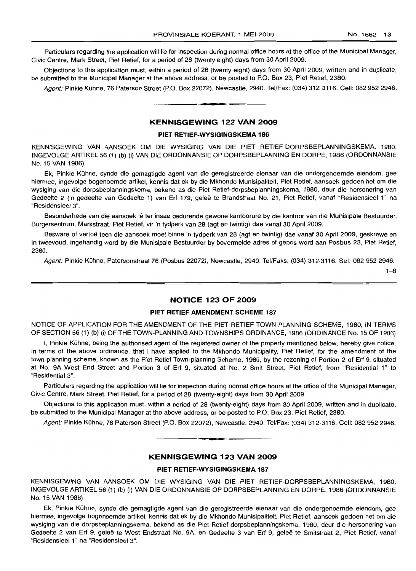Particulars regarding the application will lie for inspection during normal office hours at the office of the Municipal Manager, Civic Centre, Mark Street, Piet Retief, for a period of 28 (twenty eight) days from 30 April 2009.

Objections to this application must, within a period of 28 (twenty eight) days from 30 April 2009, written and in duplicate, be submitted to the Municipal Manager at the above address, or be posted to P.O. Box 23, Piet Retief, 2380.

Agent: Pinkie Kühne, 76 Paterson Street (P.O. Box 22072), Newcastle, 2940. Tel/Fax: (034) 312-3116. Cell: 082 952 2946.

#### **KENNISGEWING 122 VAN 2009**

**•**

#### **PIET RETIEF-WYSIGINGSKEMA 186**

KENNISGEWING VAN AANSOEK OM DIE WYSIGING VAN DIE PIET RETIEF-DORPSBEPLANNINGSKEMA, 1980, INGEVOLGE ARTIKEL 56 (1) (b) (i) VAN DIE ORDONNANS/E OP DORPSBEPLANNING EN DORPE, 1986 (ORDONNANSIE No. 15 VAN 1986)

Ek, Pinkie Kühne, synde die gemagtigde agent van die geregistreerde eienaar van die ondergenoemde eiendom, gee hiermee, ingevolge bogenoemde artikel, kennis dat ek by die Mkhondo Munisipaliteit, Piet Retief, aansoek gedoen het om die wysiging van die dorpsbeplanningskema, bekend as die Piet Retief-dorpsbeplanningskema, 1980, deur die hersonering van Gedeelte 2 ('n gedeelte van Gedeelte 1) van Erf 179, geleë te Brandstraat No. 21, Piet Retief, vanaf "Residensieel 1" na "Residensieel 3".

Besonderhede van die aansoek lê ter insae gedurende gewone kantoorure by die kantoor van die Munisipale Bestuurder, Burgersentrum, Markstraat, Piet Retief, vir 'n tydperk van 28 (agt en twintig) dae vanaf 30 April 2009.

Besware of vertoë teen die aansoek moet binne 'n tydperk van 28 (agt en twintig) dae vanaf 30 April 2009, geskrewe en in tweevoud, ingehandig word by die Munisipale Bestuurder by bovermelde adres of gepos word aan Posbus 23, Piet Retief, 2380.

Agent: Pinkie Kühne, Patersonstraat 76 (Posbus 22072), Newcastle, 2940. Tel/Faks: (034) 312-3116. Sel: 082 952 2946.

 $1 - 8$ 

#### **NOTICE 123 OF 2009**

#### **PIET RETIEF AMENDMENT SCHEME 187**

NOTICE OF APPLICATION FOR THE AMENDMENT OF THE PIET RETIEF TOWN-PLANNING SCHEME, 1980, IN TERMS OF SECTION 56 (1) (b) (i) OF THE TOWN-PLANNING AND TOWNSHIPS ORDINANCE, 1986 (ORDINANCE No. 15 OF 1986)

I, Pinkie Kühne, being the authorised agent of the registered owner of the property mentioned below, hereby give notice, in terms of the above ordinance, that I have applied to the Mkhondo Municipality, Piet Retief, for the amendment of the town-planning scheme, known as the Piet Retief Town-planning Scheme, 1980, by the rezoning of Portion 2 of Erf 9, situated at No. 9A West End Street and Portion 3 of Erf 9, situated at No. 2 Smit Street, Piet Retief, from "Residential 1" to "Residential 3".

Particulars regarding the application will lie for inspection during normal office hours at the office of the Municipal Manager, *Civic* Centre, Mark Street, Piet Retief, for a period of 28 (twenty-eight) days from 30 April 2009.

Objections to this application must, within a period of 28 (twenty-eight) days from 30 April 2009, written and in duplicate, be submitted to the Municipal Manager at the above address, or be posted to P.O. Box 23, Piet Retief, 2380.

Agent: Pinkie Kühne, 76 Paterson Street (P.O. Box 22072), Newcastle, 2940. Tel/Fax: (034) 312-3116. Cell: 082 952 2946.

**•**

#### **KENNISGEWING 123 VAN 2009**

#### **PIET RETIEF-WYSIGINGSKEMA 187**

KENNISGEWING VAN AANSOEK OM DIE WYSIGING VAN DIE PIET RETIEF-DORPSBEPLANNINGSKEMA, 1980, INGEVOLGE ARTIKEL 56 (1) (b) (i) VAN DIE ORDONNANSIE OP DORPSBEPLANNING EN DORPE, 1986 (ORDONNANSIE No. 15 VAN 1986)

Ek, Pinkie Kuhne, synde die gemagtigde agent van die geregistreerde eienaar van die ondergenoemde eiendom, gee hiermee, ingevolge bogenoemde artikel, kennis dat ek by die Mkhondo Munisipaliteit, Piet Retief, aansoek gedoen het om die wysiging van die dorpsbeplanningskema, bekend as die Piet Retief-dorpsbeplanningskema, 1980, deur die hersonering van Gedeelte 2 van Erf 9, geleë te West Endstraat No. 9A, en Gedeelte 3 van Erf 9, geleë te Smitstraat 2, Piet Retief, vanaf "Residensieel 1" na "Residensieel 3".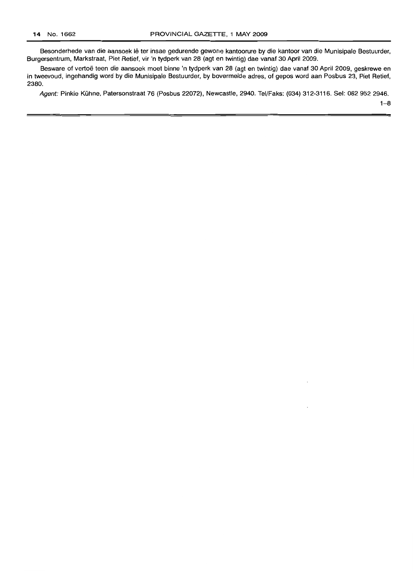Besonderhede van die aansoek lê ter insae gedurende gewone kantoorure by die kantoor van die Munisipale Bestuurder, Burgersentrum, Markstraat, Piet Retief, vir 'n tydperk van 28 (agt en twintig) dae vanaf 30 April 2009.

Besware of vertoë teen die aansoek moet binne 'n tydperk van 28 (agt en twintig) dae vanaf 30 April 2009, geskrewe en in tweevoud, ingehandig word by die Munisipale Bestuurder, by bovermelde adres, of gepos word aan Posbus 23, Piet Retief, 2380.

Agent: Pinkie Kühne, Patersonstraat 76 (Posbus 22072), Newcastle, 2940. Tel/Faks: (034) 312-3116. Sel: 082 952 2946.

 $1 - 8$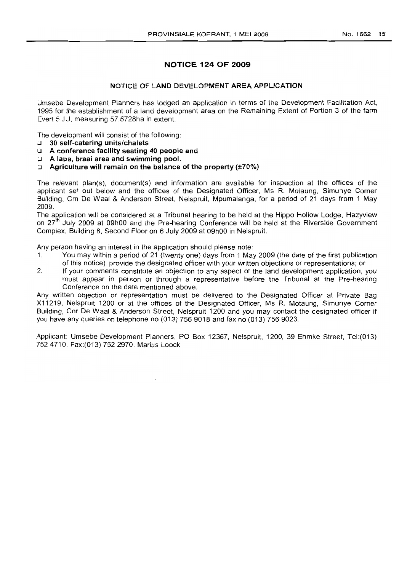## **NOTICE 124 OF 2009**

#### **NOTICE OF LAND DEVELOPMENT AREA APPLICATION**

Umsebe Development Planners has lodged an application in terms of the Development Facilitation Act, 1995 for the establishment of a land development area on the Remaining Extent of Portion 3 of the farm Evert 5 JU, measuring 57,6728ha in extent.

The development will consist of the following:

- :J **30 self-catering units/chalets**
- o **A conference facility seating 40 people and**
- :J **A tapa, braai area and swimming pool.**
- o **Agriculture will remain on the balance of the property (±70%)**

The relevant plan(s), document(s) and information are available for inspection at the offices of the applicant set out below and the offices of the Designated Officer, Ms R. Motaung, Simunye Corner Building, Crn De Waal & Anderson Street, Nelspruit, Mpumalanga, for a period of 21 days from 1 May 2009.

The application will be considered at a Tribunal hearing to be held at the Hippo Hollow Lodge, Hazyview on 27<sup>th</sup> July 2009 at 09h00 and the Pre-hearing Conference will be held at the Riverside Government Complex, Building 8, Second Floor on 6 July 2009 at 09hOO in Nelspruit.

Any person having an interest in the application should please note:

- 1. You may within a period of 21 (twenty one) days from 1 May 2009 (the date of the first publication of this notice), provide the designated officer with your written objections or representations; or
- 2. If your comments constitute an objection to any aspect of the land development application, you must appear in person or through a representative before the Tribunal at the Pre-hearing Conference on the date mentioned above.

Any written objection or representation must be delivered to the Designated Officer at Private Bag X11219, Nelspruit 1200 or at the offices of the Designated Officer, Ms R. Motaung, Simunye Corner Building, Cnr De Waal & Anderson Street, Nelspruit 1200 and you may contact the designated officer if you have any queries on telephone no (013) 756 9018 and fax no (013) 756 9023.

Applicant: Umsebe Development Planners, PO Box 12367, Nelspruit, 1200, 39 Ehmke Street, Tel:(013) 7524710, Fax:(013) 752 2970, Marius Loock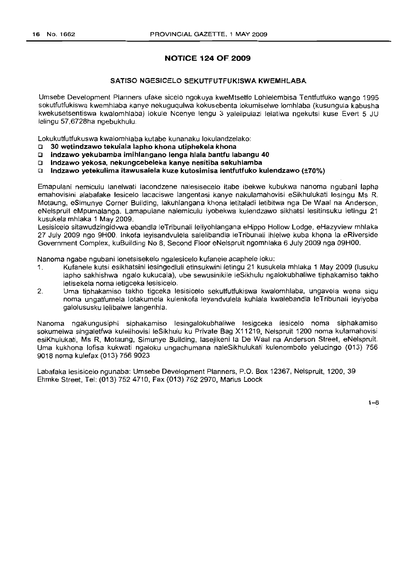### **NOTICE 124 OF 2009**

#### SATISO NGESICELO SEKUTFUTFUKISWA KWEMHLABA

Umsebe Development Planners ufake sicelo ngokuya kweMtsetfo Lohlelembisa Tentfutfuko wango 1995 sokutfutfukiswa kwemhlaba kanye nekuguqulwa kokusebenta lokumiselwe lomhlaba (kusungula kabusha kwekusetsentiswa kwalomhlaba) lokule Ncenye lengu 3 yalelipulazi lelatiwa ngekutsi kuse Evert 5 JU lelingu 57,6728ha ngebukhulu.

Lokukutfutfukuswa kwalomhlaba kutabe kunanaku lokulandzelako:

- o 30 wetindzawo tekulala lapho khona utiphekela khona
- o Indzawo yekubamba imihlangano lenga hlala bantfu labangu 40
- □ Indzawo yekosa, nekungcebeleka kanye nesitiba sekuhlamba
- $\square$  Indzawo yetekulima itawusalela kuze kutosimisa lentfutfuko kulendzawo (±70%)

Emapulani nemiculu lanelwati lacondzene nalesisecelo itabe ibekwe kubukwa nanoma ngubani lapha emahovisini alabafake lesicelo lacaciswe langentasi kanye nakulamahovisi eSikhulukati lesingu Ms R. Motaung, eSimunye Corner Building, lakuhlangana khona letitaladi letibitwa nga De Waal na Anderson, eNelspruit eMpumalanga. Lamapulane nalemiculu iyobekwa kulendzawo sikhatsi lesitinsuku letingu 21 kusukela mhlaka 1 May 2009.

Lesisicelo sitawudzingidvwa ebandla leTribunali leliyohlangana eHippo Hollow Lodge, eHazyview mhlaka 27 July 2009 ngo 9HOO. Inkofa leyisandvulela salelibandla leTribunali ihlelwe kuba khona la eRiverside Government Complex, kuBuilding No 8, Second Floor eNelspruit ngomhlaka 6 July 2009 nga Q9HOO.

Nanoma ngabe ngubani lonetsisekelo ngalesicelo kufanele acaphele loku:

- 1. Kufanele kutsi esikhatsini lesingedluli etinsukwini letingu 21 kusukela mhlaka 1 May 2009 (Iusuku lapho sakhishwa ngalo kukucala), ube sewusinikile leSikhulu ngalokubhaliwe tiphakamiso takho letisekela noma letigceka lesisicelo.
- 2. Uma tiphakamiso takho tigceka lesisicelo sekutfutfukiswa kwalomhlaba, ungavela wena siqu noma ungatfumela lotakumela kulenkofa leyandvulela kuhlala kwalebandla leTribunali leyiyoba galolususku lelibalwe langenhla.

Nanoma ngakungusiphi siphakamiso lesingalokubhaliwe lesigceka lesicelo noma siphakamiso sokumelwa singaletfwa kulelihovisi leSikhulu ku Private Bag X11219, Nelspruit 1200 noma kulamahovisi esiKhulukati, Ms R, Motaung, Simunye Building, lasejikeni la De Waal na Anderson Street, eNelspruit. Uma kukhona lofisa kukwati ngaloku ungachumana naleSikhulukati kulenombolo yelucingo (013) 756 9018 noma kulefax (013) 756 9023

Labafaka lesisicelo ngunaba: Umsebe Development Planners, P.O. Box 12367, Nelspruit, 1200, 39 Ehmke Street, Tel: (013) 7524710, Fax (013) 752 2970, Marius Loock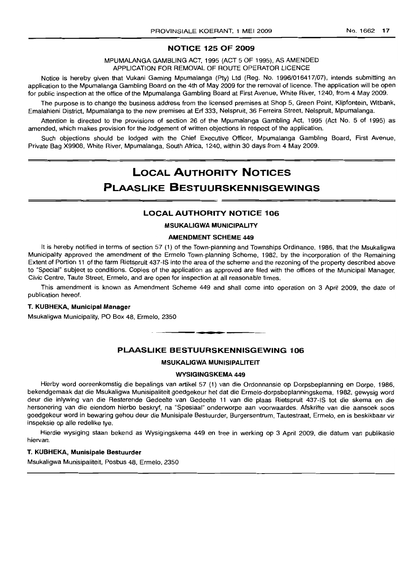#### **NOTICE 125 OF 2009**

MPUMALANGA GAMBLING ACT, 1995 (ACT 5 OF 1995), AS AMENDED APPLICATION FOR REMOVAL OF ROUTE OPERATOR LICENCE

Notice is hereby given that Vukani Gaming Mpumalanga (Pty) Ltd (Reg. No. 1996/016417/07), intends submitting an application to the Mpumalanga Gambling Board on the 4th of May 2009 for the removal of licence. The application will be open for public inspection at the office of the Mpumalanga Gambling Board at First Avenue, White River, 1240, from 4 May 2009.

The purpose is to change the business address from the licensed premises at Shop 5, Green Point, Klipfontein, Witbank, Emalahleni District, Mpumalanga to the new premises at Erf 333, Nelspruit, 36 Ferreira Street, Nelspruit, Mpumalanga.

Attention is directed to the provisions of section 26 of the Mpumalanga Gambling Act, 1995 (Act No. 5 of 1995) as amended, which makes provision for the lodgement of written objections in respect of the application.

Such objections should be lodged with the Chief Executive Officer, Mpumalanga Gambling Board, First Avenue, Private Bag X9908, White River, Mpumalanga, South Africa, 1240, within 30 days from 4 May 2009.

# **LOCAL AUTHORITY NOTICES PLAASLIKE BESTUURSKENNISGEWINGS**

#### **LOCAL AUTHORITY NOTICE 106**

**MSUKALIGWA MUNICIPALITY**

#### **AMENDMENT SCHEME 449**

It is hereby notified in terms of section 57 (1) of the Town-planning and Townships Ordinance, 1986, that the Msukaligwa Municipality approved the amendment of the Ermelo Town-planning Scheme, 1982, by the incorporation of the Remaining Extent of Portion 11 of the farm Rietspruit 437-IS into the area of the scheme and the rezoning of the property described above to "Special" SUbject to conditions. Copies of the application as approved are filed with the offices of the Municipal Manager, Civic Centre, Taute Street, Ermelo, and are open for inspection at all reasonable times.

This amendment is known as Amendment Scheme 449 and shall come into operation on 3 April 2009, the date of publication hereof.

#### **T. KUBHEKA, Municipal Manager**

Msukaligwa Municipality, PO Box 48, Ermelo, 2350

#### **PLAASLIKE BESTUURSKENNISGEWING 106**

**- .**

#### **MSUKALIGWA MUNISIPALITEIT**

#### **WYSIGINGSKEMA 449**

Hierby word ooreenkomstig die bepalings van artikel 57 (1) van die Ordonnansie op Dorpsbeplanning en Dorpe, 1986, bekendgemaak dat die Msukaligwa Munisipaliteit goedgekeur het dat die Ermelo-dorpsbeplanningskema, 1982, gewysig word deur die inlywing van die Resterende Gedeelte van Gedeelte 11 van die plaas Rietspruit 437-IS tot die skema en die hersonering van die eiendom hierbo beskryf, na "Spesiaal" onderworpe aan voorwaardes. Afskrifte van die aansoek soos goedgekeur word in bewaring gehou deur die Munisipale Bestuurder, Burgersentrum, Tautestraat, Ermelo, en is beskikbaar vir inspeksie op aile redelike tye.

Hierdie wysiging staan bekend as Wysigingskema 449 en tree in werking op 3 April 2009, die datum van publikasie hiervan.

#### **T. KUBHEKA, Munisipale Bestuurder**

Msukaligwa Munisipaliteit, Posbus 48, Ermelo, 2350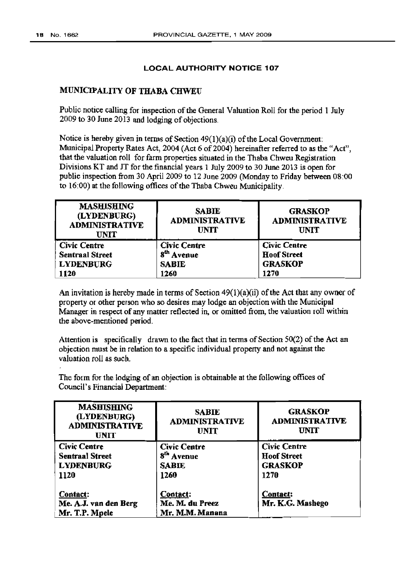### LOCAL AUTHORITY NOTICE 107

### MUNICIPALITY OF THABA CHWEU

Public notice calling for inspection of the General Valuation Roll for the period 1 July 2009 to 30 June 2013 and lodging of objections.

Notice is hereby given in terms of Section  $49(1)(a)(i)$  of the Local Government: Municipal Property Rates Act, 2004 (Act 6 of 2004) hereinafter referred to as the "Act", that the valuation roll for farm properties situated in the Thaba Chweu Registration Divisions KT and JT for the financial years 1 July 2009 to 30 June 2013 is open for public inspection from 30 April 2009 to 12 June 2009 (Monday to Friday between 08:00 to  $16:00$ ) at the following offices of the Thaba Chweu Municipality.

| <b>MASHISHING</b><br>(LYDENBURG)<br><b>ADMINISTRATIVE</b><br><b>UNIT</b> | <b>SABIE</b><br><b>ADMINISTRATIVE</b><br><b>UNIT</b> | <b>GRASKOP</b><br><b>ADMINISTRATIVE</b><br><b>UNIT</b> |
|--------------------------------------------------------------------------|------------------------------------------------------|--------------------------------------------------------|
| <b>Civic Centre</b>                                                      | <b>Civic Centre</b>                                  | <b>Civic Centre</b>                                    |
| <b>Sentraal Street</b>                                                   | $\mathbf{s}^{\text{th}}$<br>Avenue                   | <b>Hoof Street</b>                                     |
| <b>LYDENBURG</b>                                                         | <b>SABIE</b>                                         | <b>GRASKOP</b>                                         |
| 1120                                                                     | 1260                                                 | 1270                                                   |

An invitation is hereby made in terms of Section  $49(1)(a)(i)$  of the Act that any owner of property or other person who so desires may lodge an objection with the Municipal Manager in respect of any matter reflected in, or omitted from, the valuation roll within the above-mentioned period.

Attention is specifically drawn to the fact that in terms of Section  $50(2)$  of the Act an objection must he in relation to a specific individual property and not against the valuation roll as such.

The form for the lodging of an objection is obtainable at the following offices of Council's Financial Department:

| <b>MASHISHING</b><br>(LYDENBURG)<br><b>ADMINISTRATIVE</b><br><b>UNIT</b> | <b>SABIE</b><br><b>ADMINISTRATIVE</b><br><b>UNIT</b>                  | <b>GRASKOP</b><br><b>ADMINISTRATIVE</b><br><b>UNIT</b>              |
|--------------------------------------------------------------------------|-----------------------------------------------------------------------|---------------------------------------------------------------------|
| Civic Centre<br><b>Sentraal Street</b><br><b>LYDENBURG</b><br>1120       | <b>Civic Centre</b><br>8 <sup>th</sup> Avenue<br><b>SABIE</b><br>1260 | <b>Civic Centre</b><br><b>Hoof Street</b><br><b>GRASKOP</b><br>1270 |
| Contact:<br>Me. A.J. van den Berg<br>Mr. T.P. Mpele                      | Contact:<br>Me. M. du Preez<br>Mr. M.M. Manana                        | <b>Contact:</b><br>Mr. K.G. Mashego                                 |